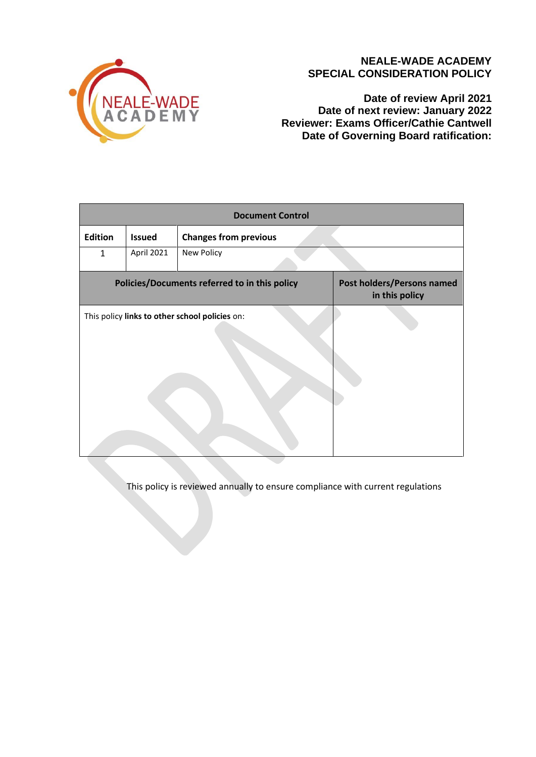

# **NEALE-WADE ACADEMY SPECIAL CONSIDERATION POLICY**

**Date of review April 2021 Date of next review: January 2022 Reviewer: Exams Officer/Cathie Cantwell Date of Governing Board ratification:** 

| <b>Document Control</b>                        |               |                              |                                              |
|------------------------------------------------|---------------|------------------------------|----------------------------------------------|
| <b>Edition</b>                                 | <b>Issued</b> | <b>Changes from previous</b> |                                              |
| $\mathbf{1}$                                   | April 2021    | New Policy                   |                                              |
| Policies/Documents referred to in this policy  |               |                              | Post holders/Persons named<br>in this policy |
| This policy links to other school policies on: |               |                              |                                              |

This policy is reviewed annually to ensure compliance with current regulations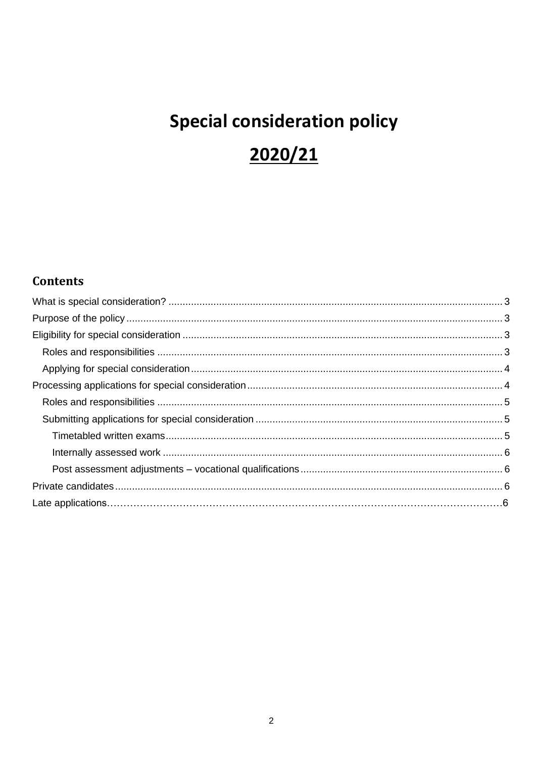# **Special consideration policy** 2020/21

# Contents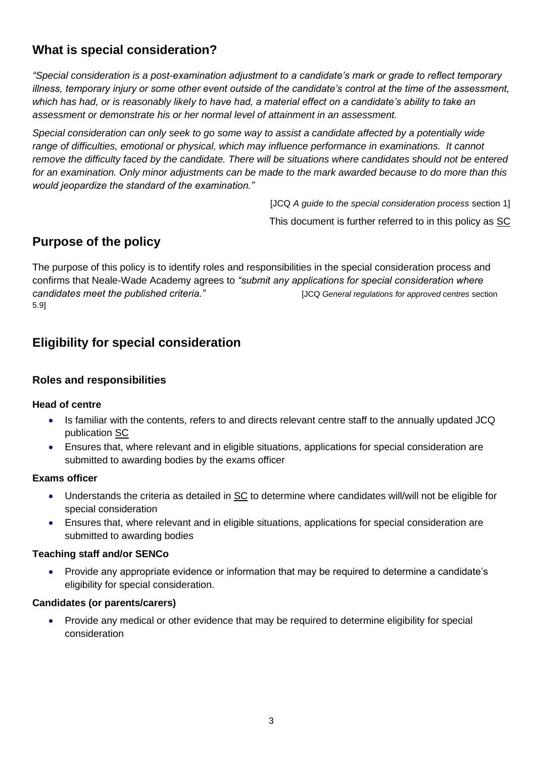# <span id="page-2-0"></span>**What is special consideration?**

*"Special consideration is a post-examination adjustment to a candidate's mark or grade to reflect temporary illness, temporary injury or some other event outside of the candidate's control at the time of the assessment, which has had, or is reasonably likely to have had, a material effect on a candidate's ability to take an assessment or demonstrate his or her normal level of attainment in an assessment.* 

*Special consideration can only seek to go some way to assist a candidate affected by a potentially wide range of difficulties, emotional or physical, which may influence performance in examinations. It cannot remove the difficulty faced by the candidate. There will be situations where candidates should not be entered for an examination. Only minor adjustments can be made to the mark awarded because to do more than this would jeopardize the standard of the examination."*

> [JCQ *A guide to the special consideration process* section 1] This document is further referred to in this policy as [SC](http://www.jcq.org.uk/exams-office/access-arrangements-and-special-consideration/regulations-and-guidance)

# <span id="page-2-1"></span>**Purpose of the policy**

The purpose of this policy is to identify roles and responsibilities in the special consideration process and confirms that Neale-Wade Academy agrees to *"submit any applications for special consideration where candidates meet the published criteria."* [JCQ *General regulations for approved centres* section 5.9]

# <span id="page-2-2"></span>**Eligibility for special consideration**

# <span id="page-2-3"></span>**Roles and responsibilities**

## **Head of centre**

- Is familiar with the contents, refers to and directs relevant centre staff to the annually updated JCQ publication [SC](http://www.jcq.org.uk/exams-office/access-arrangements-and-special-consideration/regulations-and-guidance)
- Ensures that, where relevant and in eligible situations, applications for special consideration are submitted to awarding bodies by the exams officer

## **Exams officer**

- Understands the criteria as detailed in [SC](http://www.jcq.org.uk/exams-office/access-arrangements-and-special-consideration/regulations-and-guidance) to determine where candidates will/will not be eligible for special consideration
- Ensures that, where relevant and in eligible situations, applications for special consideration are submitted to awarding bodies

## **Teaching staff and/or SENCo**

• Provide any appropriate evidence or information that may be required to determine a candidate's eligibility for special consideration.

#### **Candidates (or parents/carers)**

• Provide any medical or other evidence that may be required to determine eligibility for special consideration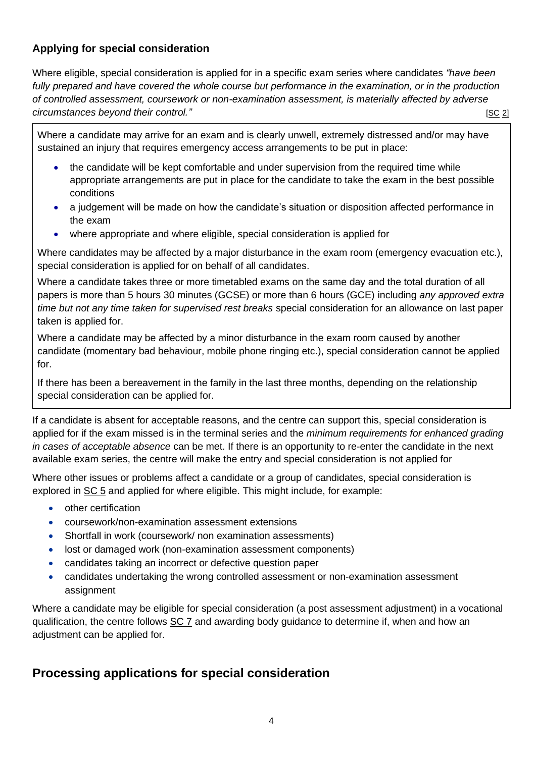# <span id="page-3-0"></span>**Applying for special consideration**

Where eligible, special consideration is applied for in a specific exam series where candidates *"have been fully prepared and have covered the whole course but performance in the examination, or in the production of controlled assessment, coursework or non-examination assessment, is materially affected by adverse circumstances beyond their control." SC 2] Circumstances beyond their control."* 

Where a candidate may arrive for an exam and is clearly unwell, extremely distressed and/or may have sustained an injury that requires emergency access arrangements to be put in place:

- the candidate will be kept comfortable and under supervision from the required time while appropriate arrangements are put in place for the candidate to take the exam in the best possible conditions
- a judgement will be made on how the candidate's situation or disposition affected performance in the exam
- where appropriate and where eligible, special consideration is applied for

Where candidates may be affected by a major disturbance in the exam room (emergency evacuation etc.), special consideration is applied for on behalf of all candidates.

Where a candidate takes three or more timetabled exams on the same day and the total duration of all papers is more than 5 hours 30 minutes (GCSE) or more than 6 hours (GCE) including *any approved extra time but not any time taken for supervised rest breaks* special consideration for an allowance on last paper taken is applied for.

Where a candidate may be affected by a minor disturbance in the exam room caused by another candidate (momentary bad behaviour, mobile phone ringing etc.), special consideration cannot be applied for.

If there has been a bereavement in the family in the last three months, depending on the relationship special consideration can be applied for.

If a candidate is absent for acceptable reasons, and the centre can support this, special consideration is applied for if the exam missed is in the terminal series and the *minimum requirements for enhanced grading in cases of acceptable absence* can be met. If there is an opportunity to re-enter the candidate in the next available exam series, the centre will make the entry and special consideration is not applied for

Where other issues or problems affect a candidate or a group of candidates, special consideration is explored in [SC 5](http://www.jcq.org.uk/exams-office/access-arrangements-and-special-consideration) and applied for where eligible. This might include, for example:

- other certification
- coursework/non-examination assessment extensions
- Shortfall in work (coursework/ non examination assessments)
- lost or damaged work (non-examination assessment components)
- candidates taking an incorrect or defective question paper
- candidates undertaking the wrong controlled assessment or non-examination assessment assignment

Where a candidate may be eligible for special consideration (a post assessment adjustment) in a vocational qualification, the centre follows [SC 7](http://www.jcq.org.uk/exams-office/access-arrangements-and-special-consideration) and awarding body guidance to determine if, when and how an adjustment can be applied for.

# <span id="page-3-1"></span>**Processing applications for special consideration**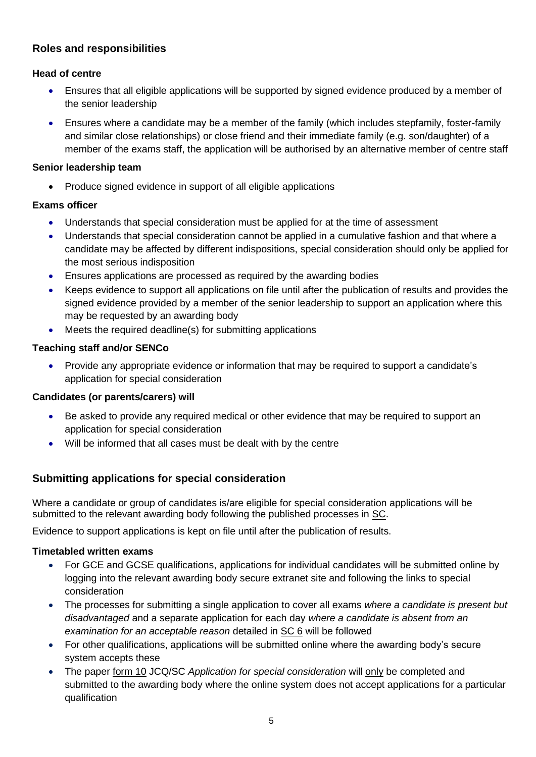# <span id="page-4-0"></span>**Roles and responsibilities**

# **Head of centre**

- Ensures that all eligible applications will be supported by signed evidence produced by a member of the senior leadership
- Ensures where a candidate may be a member of the family (which includes stepfamily, foster-family and similar close relationships) or close friend and their immediate family (e.g. son/daughter) of a member of the exams staff, the application will be authorised by an alternative member of centre staff

#### **Senior leadership team**

• Produce signed evidence in support of all eligible applications

## **Exams officer**

- Understands that special consideration must be applied for at the time of assessment
- Understands that special consideration cannot be applied in a cumulative fashion and that where a candidate may be affected by different indispositions, special consideration should only be applied for the most serious indisposition
- Ensures applications are processed as required by the awarding bodies
- Keeps evidence to support all applications on file until after the publication of results and provides the signed evidence provided by a member of the senior leadership to support an application where this may be requested by an awarding body
- Meets the required deadline(s) for submitting applications

## **Teaching staff and/or SENCo**

• Provide any appropriate evidence or information that may be required to support a candidate's application for special consideration

## **Candidates (or parents/carers) will**

- Be asked to provide any required medical or other evidence that may be required to support an application for special consideration
- Will be informed that all cases must be dealt with by the centre

# <span id="page-4-1"></span>**Submitting applications for special consideration**

Where a candidate or group of candidates is/are eligible for special consideration applications will be submitted to the relevant awarding body following the published processes in [SC.](http://www.jcq.org.uk/exams-office/access-arrangements-and-special-consideration)

Evidence to support applications is kept on file until after the publication of results.

## <span id="page-4-2"></span>**Timetabled written exams**

- For GCE and GCSE qualifications, applications for individual candidates will be submitted online by logging into the relevant awarding body secure extranet site and following the links to special consideration
- The processes for submitting a single application to cover all exams *where a candidate is present but disadvantaged* and a separate application for each day *where a candidate is absent from an examination for an acceptable reason* detailed in [SC 6](http://www.jcq.org.uk/exams-office/access-arrangements-and-special-consideration) will be followed
- For other qualifications, applications will be submitted online where the awarding body's secure system accepts these
- The paper [form 10](http://www.jcq.org.uk/exams-office/access-arrangements-and-special-consideration/forms) JCQ/SC *Application for special consideration* will only be completed and submitted to the awarding body where the online system does not accept applications for a particular qualification